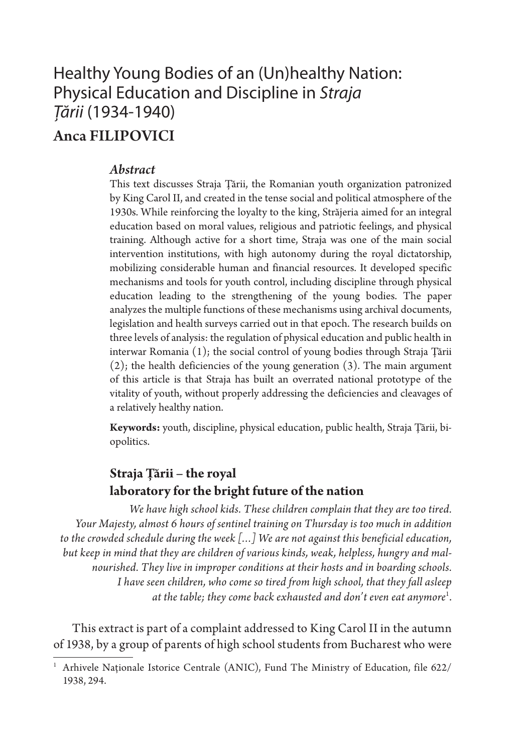# Healthy Young Bodies of an (Un)healthy Nation: Physical Education and Discipline in *Straja Țării* (1934-1940)

## Anca FILIPOVICI

#### *Abstract*

This text discusses Straja Țării, the Romanian youth organization patronized by King Carol II, and created in the tense social and political atmosphere of the 1930s. While reinforcing the loyalty to the king, Străjeria aimed for an integral education based on moral values, religious and patriotic feelings, and physical training. Although active for a short time, Straja was one of the main social intervention institutions, with high autonomy during the royal dictatorship, mobilizing considerable human and financial resources. It developed specific mechanisms and tools for youth control, including discipline through physical education leading to the strengthening of the young bodies. The paper analyzes the multiple functions of these mechanisms using archival documents, legislation and health surveys carried out in that epoch. The research builds on three levels of analysis: the regulation of physical education and public health in interwar Romania (1); the social control of young bodies through Straja Țării (2); the health deficiencies of the young generation (3). The main argument of this article is that Straja has built an overrated national prototype of the vitality of youth, without properly addressing the deficiencies and cleavages of a relatively healthy nation.

**Keywords:** youth, discipline, physical education, public health, Straja Țării, biopolitics.

### **Straja Țării – the royal laboratory for the bright future of the nation**

*We have high school kids. These children complain that they are too tired. Your Majesty, almost 6 hours of sentinel training on Thursday is too much in addition to the crowded schedule during the week […] We are not against this beneficial education, but keep in mind that they are children of various kinds, weak, helpless, hungry and malnourished. They live in improper conditions at their hosts and in boarding schools. I have seen children, who come so tired from high school, that they fall asleep at the table; they come back exhausted and don't even eat anymore*<sup>1</sup> .

This extract is part of a complaint addressed to King Carol II in the autumn of 1938, by a group of parents of high school students from Bucharest who were

<sup>&</sup>lt;sup>1</sup> Arhivele Naționale Istorice Centrale (ANIC), Fund The Ministry of Education, file 622/ 1938, 294.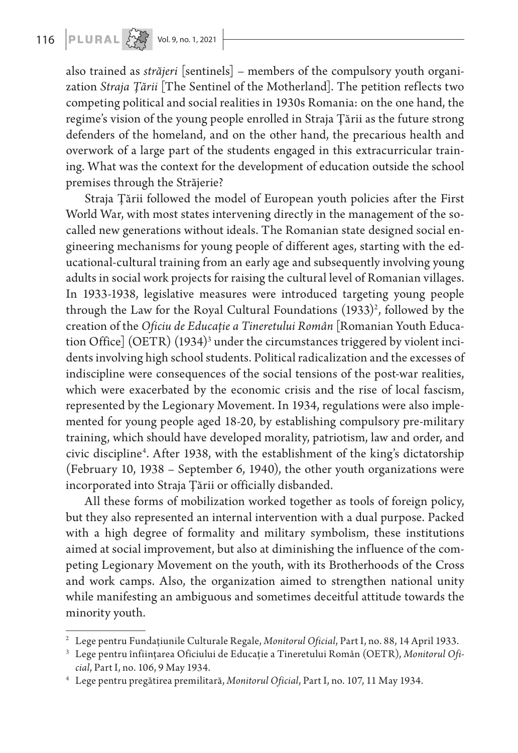also trained as *străjeri* [sentinels] – members of the compulsory youth organization *Straja Țării* [The Sentinel of the Motherland]. The petition reflects two competing political and social realities in 1930s Romania: on the one hand, the regime's vision of the young people enrolled in Straja Țării as the future strong defenders of the homeland, and on the other hand, the precarious health and overwork of a large part of the students engaged in this extracurricular training. What was the context for the development of education outside the school premises through the Străjerie?

Straja Țării followed the model of European youth policies after the First World War, with most states intervening directly in the management of the socalled new generations without ideals. The Romanian state designed social engineering mechanisms for young people of different ages, starting with the educational-cultural training from an early age and subsequently involving young adults in social work projects for raising the cultural level of Romanian villages. In 1933-1938, legislative measures were introduced targeting young people through the Law for the Royal Cultural Foundations  $(1933)^2$ , followed by the creation of the *Oficiu de Educație a Tineretului Român* [Romanian Youth Education Office]  $(\mathrm{OETR})$   $(1934)^3$  under the circumstances triggered by violent incidents involving high school students. Political radicalization and the excesses of indiscipline were consequences of the social tensions of the post-war realities, which were exacerbated by the economic crisis and the rise of local fascism, represented by the Legionary Movement. In 1934, regulations were also implemented for young people aged 18-20, by establishing compulsory pre-military training, which should have developed morality, patriotism, law and order, and civic discipline4 . After 1938, with the establishment of the king's dictatorship (February 10, 1938 – September 6, 1940), the other youth organizations were incorporated into Straja Țării or officially disbanded.

All these forms of mobilization worked together as tools of foreign policy, but they also represented an internal intervention with a dual purpose. Packed with a high degree of formality and military symbolism, these institutions aimed at social improvement, but also at diminishing the influence of the competing Legionary Movement on the youth, with its Brotherhoods of the Cross and work camps. Also, the organization aimed to strengthen national unity while manifesting an ambiguous and sometimes deceitful attitude towards the minority youth.

<sup>2</sup> Lege pentru Fundațiunile Culturale Regale, *Monitorul Oficial*, Part I, no. 88, 14 April 1933.

<sup>3</sup> Lege pentru înființarea Oficiului de Educație a Tineretului Român (OETR), *Monitorul Oficial*, Part I, no. 106, 9 May 1934.

<sup>4</sup> Lege pentru pregătirea premilitară, *Monitorul Oficial*, Part I, no. 107, 11 May 1934.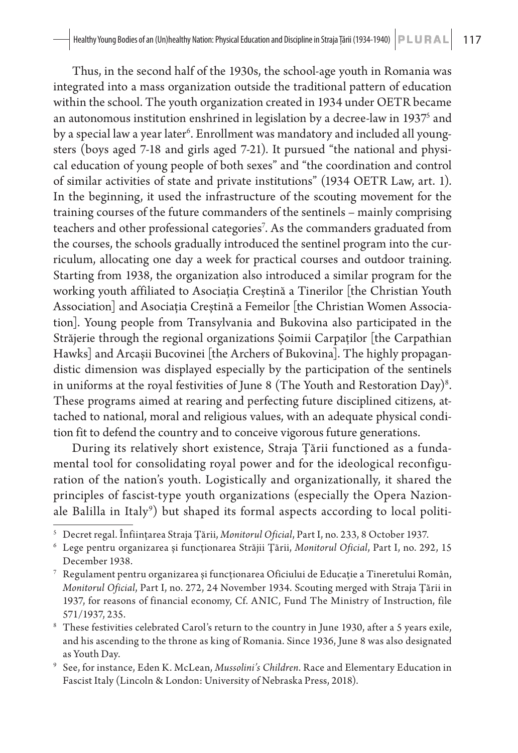Thus, in the second half of the 1930s, the school-age youth in Romania was integrated into a mass organization outside the traditional pattern of education within the school. The youth organization created in 1934 under OETR became an autonomous institution enshrined in legislation by a decree-law in 19375 and by a special law a year later<sup>6</sup>. Enrollment was mandatory and included all youngsters (boys aged 7-18 and girls aged 7-21). It pursued "the national and physical education of young people of both sexes" and "the coordination and control of similar activities of state and private institutions" (1934 OETR Law, art. 1). In the beginning, it used the infrastructure of the scouting movement for the training courses of the future commanders of the sentinels – mainly comprising teachers and other professional categories<sup>7</sup>. As the commanders graduated from the courses, the schools gradually introduced the sentinel program into the curriculum, allocating one day a week for practical courses and outdoor training. Starting from 1938, the organization also introduced a similar program for the working youth affiliated to Asociația Creștină a Tinerilor [the Christian Youth Association] and Asociația Creștină a Femeilor [the Christian Women Association]. Young people from Transylvania and Bukovina also participated in the Străjerie through the regional organizations Șoimii Carpaților [the Carpathian Hawks] and Arcașii Bucovinei [the Archers of Bukovina]. The highly propagandistic dimension was displayed especially by the participation of the sentinels in uniforms at the royal festivities of June 8 (The Youth and Restoration Day) $^8$ . These programs aimed at rearing and perfecting future disciplined citizens, attached to national, moral and religious values, with an adequate physical condition fit to defend the country and to conceive vigorous future generations.

During its relatively short existence, Straja Țării functioned as a fundamental tool for consolidating royal power and for the ideological reconfiguration of the nation's youth. Logistically and organizationally, it shared the principles of fascist-type youth organizations (especially the Opera Nazionale Balilla in Italy<sup>9</sup>) but shaped its formal aspects according to local politi-

<sup>9</sup> See, for instance, Eden K. McLean, *Mussolini's Children*. Race and Elementary Education in Fascist Italy (Lincoln & London: University of Nebraska Press, 2018).

<sup>5</sup> Decret regal. Înființarea Straja Țării, *Monitorul Oficial*, Part I, no. 233, 8 October 1937.

<sup>6</sup> Lege pentru organizarea și funcționarea Străjii Țării, *Monitorul Oficial*, Part I, no. 292, 15 December 1938.

 $^7$  Regulament pentru organizarea și funcționarea Oficiului de Educație a Tineretului Român, *Monitorul Oficial*, Part I, no. 272, 24 November 1934. Scouting merged with Straja Țării in 1937, for reasons of financial economy, Cf. ANIC, Fund The Ministry of Instruction, file 571/1937, 235.

 $^{\rm 8}$  These festivities celebrated Carol's return to the country in June 1930, after a 5 years exile, and his ascending to the throne as king of Romania. Since 1936, June 8 was also designated as Youth Day.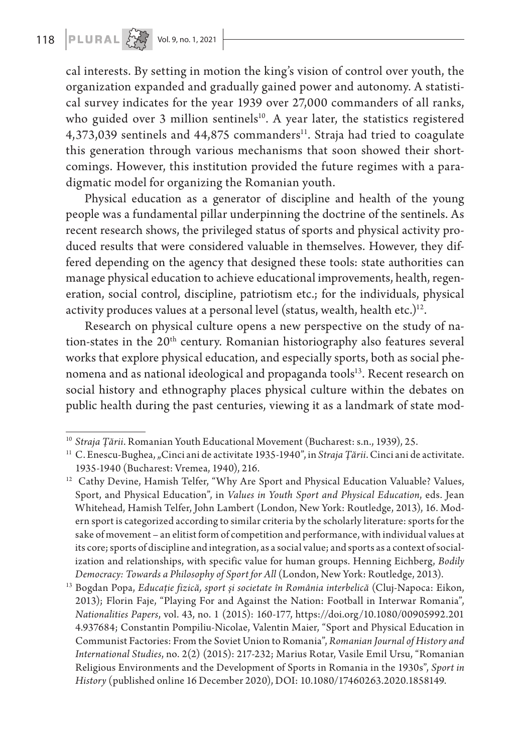cal interests. By setting in motion the king's vision of control over youth, the organization expanded and gradually gained power and autonomy. A statistical survey indicates for the year 1939 over 27,000 commanders of all ranks, who guided over 3 million sentinels<sup>10</sup>. A year later, the statistics registered 4,373,039 sentinels and 44,875 commanders<sup>11</sup>. Straja had tried to coagulate this generation through various mechanisms that soon showed their shortcomings. However, this institution provided the future regimes with a paradigmatic model for organizing the Romanian youth.

Physical education as a generator of discipline and health of the young people was a fundamental pillar underpinning the doctrine of the sentinels. As recent research shows, the privileged status of sports and physical activity produced results that were considered valuable in themselves. However, they differed depending on the agency that designed these tools: state authorities can manage physical education to achieve educational improvements, health, regeneration, social control, discipline, patriotism etc.; for the individuals, physical activity produces values at a personal level (status, wealth, health etc.) $12$ .

Research on physical culture opens a new perspective on the study of nation-states in the 20<sup>th</sup> century. Romanian historiography also features several works that explore physical education, and especially sports, both as social phenomena and as national ideological and propaganda tools<sup>13</sup>. Recent research on social history and ethnography places physical culture within the debates on public health during the past centuries, viewing it as a landmark of state mod-

<sup>&</sup>lt;sup>10</sup> Straja Țării. Romanian Youth Educational Movement (Bucharest: s.n., 1939), 25.

<sup>&</sup>lt;sup>11</sup> C. Enescu-Bughea, "Cinci ani de activitate 1935-1940", in *Straja Țării*. Cinci ani de activitate. 1935-1940 (Bucharest: Vremea, 1940), 216.

<sup>&</sup>lt;sup>12</sup> Cathy Devine, Hamish Telfer, "Why Are Sport and Physical Education Valuable? Values, Sport, and Physical Education", in *Values in Youth Sport and Physical Education*, eds. Jean Whitehead, Hamish Telfer, John Lambert (London, New York: Routledge, 2013), 16. Modern sport is categorized according to similar criteria by the scholarly literature: sports for the sake of movement – an elitist form of competition and performance, with individual values at its core; sports of discipline and integration, as a social value; and sports as a context of socialization and relationships, with specific value for human groups. Henning Eichberg, *Bodily Democracy: Towards a Philosophy of Sport for All* (London, New York: Routledge, 2013).

<sup>13</sup> Bogdan Popa, *Educație fizică, sport și societate în România interbelică* (Cluj-Napoca: Eikon, 2013); Florin Faje, "Playing For and Against the Nation: Football in Interwar Romania", *Nationalities Papers*, vol. 43, no. 1 (2015): 160-177, https://doi.org/10.1080/00905992.201 4.937684; Constantin Pompiliu-Nicolae, Valentin Maier, "Sport and Physical Education in Communist Factories: From the Soviet Union to Romania", *Romanian Journal of History and International Studies*, no. 2(2) (2015): 217-232; Marius Rotar, Vasile Emil Ursu, "Romanian Religious Environments and the Development of Sports in Romania in the 1930s", *Sport in History* (published online 16 December 2020), DOI: 10.1080/17460263.2020.1858149.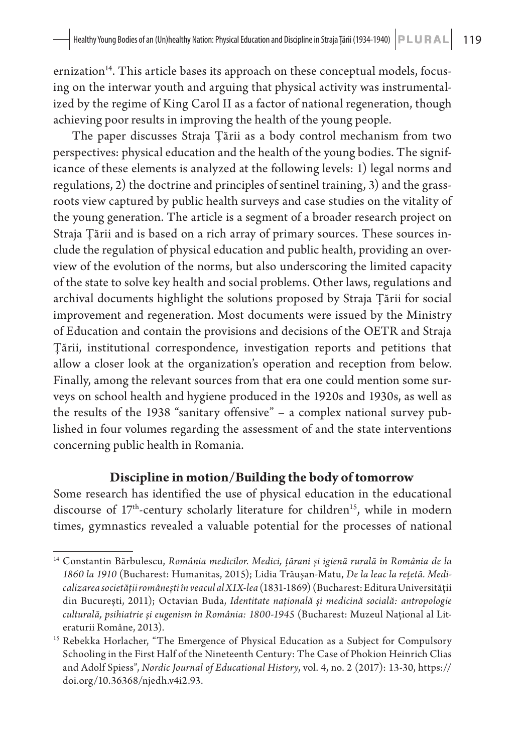$ernization<sup>14</sup>$ . This article bases its approach on these conceptual models, focusing on the interwar youth and arguing that physical activity was instrumentalized by the regime of King Carol II as a factor of national regeneration, though achieving poor results in improving the health of the young people.

The paper discusses Straja Țării as a body control mechanism from two perspectives: physical education and the health of the young bodies. The significance of these elements is analyzed at the following levels: 1) legal norms and regulations, 2) the doctrine and principles of sentinel training, 3) and the grassroots view captured by public health surveys and case studies on the vitality of the young generation. The article is a segment of a broader research project on Straja Țării and is based on a rich array of primary sources. These sources include the regulation of physical education and public health, providing an overview of the evolution of the norms, but also underscoring the limited capacity of the state to solve key health and social problems. Other laws, regulations and archival documents highlight the solutions proposed by Straja Țării for social improvement and regeneration. Most documents were issued by the Ministry of Education and contain the provisions and decisions of the OETR and Straja Țării, institutional correspondence, investigation reports and petitions that allow a closer look at the organization's operation and reception from below. Finally, among the relevant sources from that era one could mention some surveys on school health and hygiene produced in the 1920s and 1930s, as well as the results of the 1938 "sanitary offensive" – a complex national survey published in four volumes regarding the assessment of and the state interventions concerning public health in Romania.

#### **Discipline in motion/Building the body of tomorrow**

Some research has identified the use of physical education in the educational discourse of 17<sup>th</sup>-century scholarly literature for children<sup>15</sup>, while in modern times, gymnastics revealed a valuable potential for the processes of national

<sup>14</sup> Constantin Bărbulescu, *România medicilor. Medici, țărani și igienă rurală în România de la 1860 la 1910* (Bucharest: Humanitas, 2015); Lidia Trăușan-Matu, *De la leac la rețetă. Medicalizarea societății românești în veacul al XIX-lea* (1831-1869) (Bucharest: Editura Universității din București, 2011); Octavian Buda, *Identitate națională și medicină socială: antropologie culturală, psihiatrie și eugenism în România: 1800-1945* (Bucharest: Muzeul Național al Literaturii Române, 2013).

<sup>&</sup>lt;sup>15</sup> Rebekka Horlacher, "The Emergence of Physical Education as a Subject for Compulsory Schooling in the First Half of the Nineteenth Century: The Case of Phokion Heinrich Clias and Adolf Spiess", *Nordic Journal of Educational History*, vol. 4, no. 2 (2017): 13-30, https:// doi.org/10.36368/njedh.v4i2.93.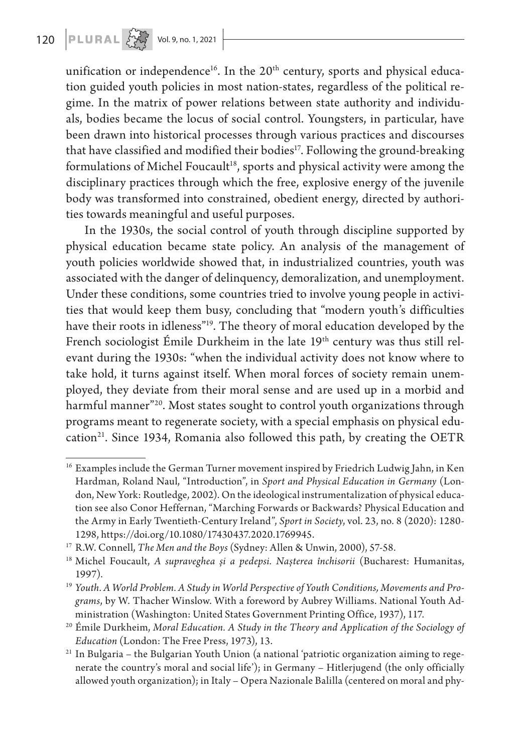unification or independence<sup>16</sup>. In the  $20<sup>th</sup>$  century, sports and physical education guided youth policies in most nation-states, regardless of the political regime. In the matrix of power relations between state authority and individuals, bodies became the locus of social control. Youngsters, in particular, have been drawn into historical processes through various practices and discourses that have classified and modified their bodies<sup>17</sup>. Following the ground-breaking formulations of Michel Foucault<sup>18</sup>, sports and physical activity were among the disciplinary practices through which the free, explosive energy of the juvenile body was transformed into constrained, obedient energy, directed by authorities towards meaningful and useful purposes.

In the 1930s, the social control of youth through discipline supported by physical education became state policy. An analysis of the management of youth policies worldwide showed that, in industrialized countries, youth was associated with the danger of delinquency, demoralization, and unemployment. Under these conditions, some countries tried to involve young people in activities that would keep them busy, concluding that "modern youth's difficulties have their roots in idleness"<sup>19</sup>. The theory of moral education developed by the French sociologist Émile Durkheim in the late 19<sup>th</sup> century was thus still relevant during the 1930s: "when the individual activity does not know where to take hold, it turns against itself. When moral forces of society remain unemployed, they deviate from their moral sense and are used up in a morbid and harmful manner"<sup>20</sup>. Most states sought to control youth organizations through programs meant to regenerate society, with a special emphasis on physical education<sup>21</sup>. Since 1934, Romania also followed this path, by creating the OETR

<sup>&</sup>lt;sup>16</sup> Examples include the German Turner movement inspired by Friedrich Ludwig Jahn, in Ken Hardman, Roland Naul, "Introduction", in *Sport and Physical Education in Germany* (London, New York: Routledge, 2002). On the ideological instrumentalization of physical education see also Conor Heffernan, "Marching Forwards or Backwards? Physical Education and the Army in Early Twentieth-Century Ireland", *Sport in Society*, vol. 23, no. 8 (2020): 1280- 1298, https://doi.org/10.1080/17430437.2020.1769945.

<sup>17</sup> R.W. Connell, *The Men and the Boys* (Sydney: Allen & Unwin, 2000), 57-58. 18 Michel Foucault, *A supraveghea și a pedepsi. Nașterea închisorii* (Bucharest: Humanitas, 1997).

<sup>19</sup> *Youth. A World Problem. A Study in World Perspective of Youth Conditions, Movements and Programs*, by W. Thacher Winslow. With a foreword by Aubrey Williams. National Youth Administration (Washington: United States Government Printing Office, 1937), 117.

<sup>20</sup> Émile Durkheim, *Moral Education. A Study in the Theory and Application of the Sociology of Education* (London: The Free Press, 1973), 13.

<sup>&</sup>lt;sup>21</sup> In Bulgaria – the Bulgarian Youth Union (a national 'patriotic organization aiming to regenerate the country's moral and social life'); in Germany – Hitlerjugend (the only officially allowed youth organization); in Italy – Opera Nazionale Balilla (centered on moral and phy-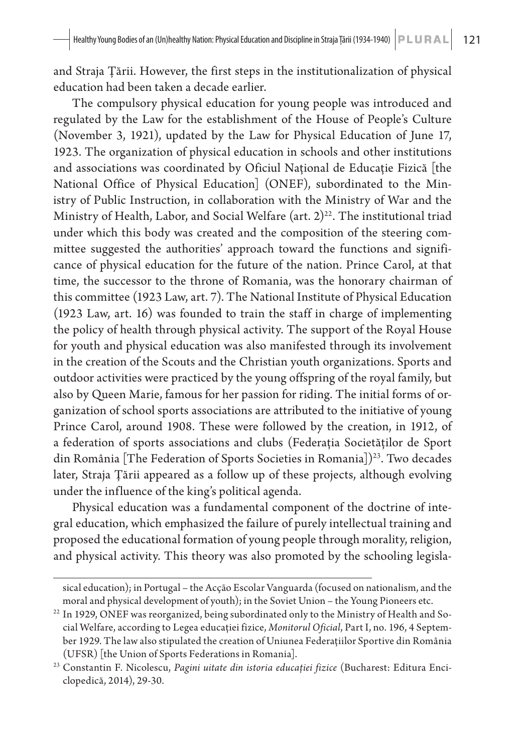and Straja Țării. However, the first steps in the institutionalization of physical education had been taken a decade earlier.

The compulsory physical education for young people was introduced and regulated by the Law for the establishment of the House of People's Culture (November 3, 1921), updated by the Law for Physical Education of June 17, 1923. The organization of physical education in schools and other institutions and associations was coordinated by Oficiul Național de Educație Fizică [the National Office of Physical Education] (ONEF), subordinated to the Ministry of Public Instruction, in collaboration with the Ministry of War and the Ministry of Health, Labor, and Social Welfare (art.  $2^{22}$ . The institutional triad under which this body was created and the composition of the steering committee suggested the authorities' approach toward the functions and significance of physical education for the future of the nation. Prince Carol, at that time, the successor to the throne of Romania, was the honorary chairman of this committee (1923 Law, art. 7). The National Institute of Physical Education (1923 Law, art. 16) was founded to train the staff in charge of implementing the policy of health through physical activity. The support of the Royal House for youth and physical education was also manifested through its involvement in the creation of the Scouts and the Christian youth organizations. Sports and outdoor activities were practiced by the young offspring of the royal family, but also by Queen Marie, famous for her passion for riding. The initial forms of organization of school sports associations are attributed to the initiative of young Prince Carol, around 1908. These were followed by the creation, in 1912, of a federation of sports associations and clubs (Federația Societăților de Sport din România [The Federation of Sports Societies in Romania])<sup>23</sup>. Two decades later, Straja Țării appeared as a follow up of these projects, although evolving under the influence of the king's political agenda.

Physical education was a fundamental component of the doctrine of integral education, which emphasized the failure of purely intellectual training and proposed the educational formation of young people through morality, religion, and physical activity. This theory was also promoted by the schooling legisla-

sical education); in Portugal – the Acção Escolar Vanguarda (focused on nationalism, and the moral and physical development of youth); in the Soviet Union – the Young Pioneers etc.

<sup>&</sup>lt;sup>22</sup> In 1929, ONEF was reorganized, being subordinated only to the Ministry of Health and Social Welfare, according to Legea educației fizice, *Monitorul Oficial*, Part I, no. 196, 4 September 1929. The law also stipulated the creation of Uniunea Federațiilor Sportive din România (UFSR) [the Union of Sports Federations in Romania].

<sup>23</sup> Constantin F. Nicolescu, *Pagini uitate din istoria educației fizice* (Bucharest: Editura Enciclopedică, 2014), 29-30.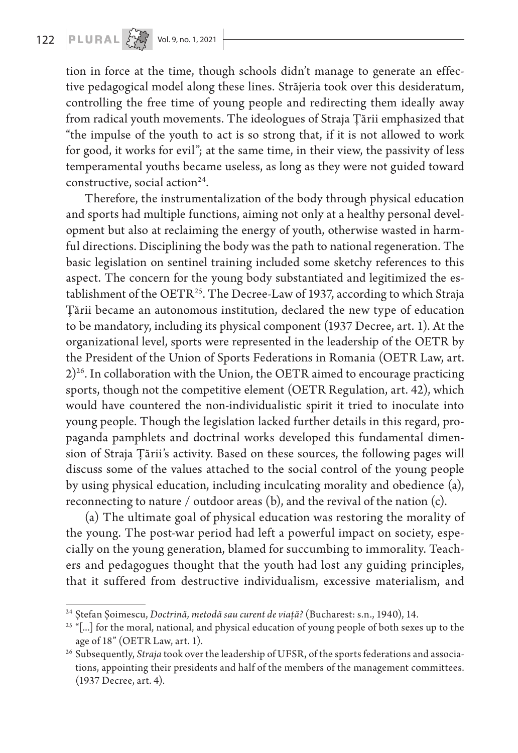tion in force at the time, though schools didn't manage to generate an effective pedagogical model along these lines. Străjeria took over this desideratum, controlling the free time of young people and redirecting them ideally away from radical youth movements. The ideologues of Straja Țării emphasized that "the impulse of the youth to act is so strong that, if it is not allowed to work for good, it works for evil"; at the same time, in their view, the passivity of less temperamental youths became useless, as long as they were not guided toward constructive, social action<sup>24</sup>.

Therefore, the instrumentalization of the body through physical education and sports had multiple functions, aiming not only at a healthy personal development but also at reclaiming the energy of youth, otherwise wasted in harmful directions. Disciplining the body was the path to national regeneration. The basic legislation on sentinel training included some sketchy references to this aspect. The concern for the young body substantiated and legitimized the establishment of the OETR<sup>25</sup>. The Decree-Law of 1937, according to which Straja Țării became an autonomous institution, declared the new type of education to be mandatory, including its physical component (1937 Decree, art. 1). At the organizational level, sports were represented in the leadership of the OETR by the President of the Union of Sports Federations in Romania (OETR Law, art.  $2)^{26}$ . In collaboration with the Union, the OETR aimed to encourage practicing sports, though not the competitive element (OETR Regulation, art. 42), which would have countered the non-individualistic spirit it tried to inoculate into young people. Though the legislation lacked further details in this regard, propaganda pamphlets and doctrinal works developed this fundamental dimension of Straja Țării's activity. Based on these sources, the following pages will discuss some of the values attached to the social control of the young people by using physical education, including inculcating morality and obedience (a), reconnecting to nature / outdoor areas (b), and the revival of the nation (c).

(a) The ultimate goal of physical education was restoring the morality of the young. The post-war period had left a powerful impact on society, especially on the young generation, blamed for succumbing to immorality. Teachers and pedagogues thought that the youth had lost any guiding principles, that it suffered from destructive individualism, excessive materialism, and

<sup>24</sup> Ștefan Șoimescu, *Doctrină, metodă sau curent de viață?* (Bucharest: s.n., 1940), 14.

<sup>&</sup>lt;sup>25</sup> "[...] for the moral, national, and physical education of young people of both sexes up to the age of 18" (OETR Law, art. 1).

<sup>&</sup>lt;sup>26</sup> Subsequently, *Straja* took over the leadership of UFSR, of the sports federations and associations, appointing their presidents and half of the members of the management committees. (1937 Decree, art. 4).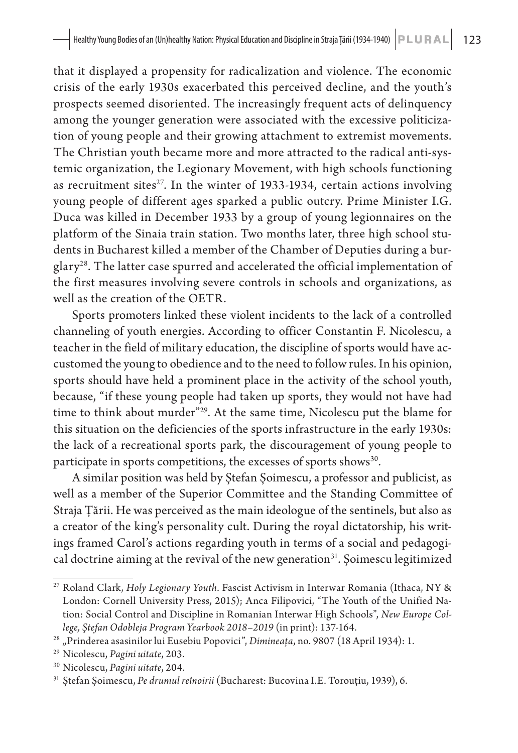that it displayed a propensity for radicalization and violence. The economic crisis of the early 1930s exacerbated this perceived decline, and the youth's prospects seemed disoriented. The increasingly frequent acts of delinquency among the younger generation were associated with the excessive politicization of young people and their growing attachment to extremist movements. The Christian youth became more and more attracted to the radical anti-systemic organization, the Legionary Movement, with high schools functioning as recruitment sites $27$ . In the winter of 1933-1934, certain actions involving young people of different ages sparked a public outcry. Prime Minister I.G. Duca was killed in December 1933 by a group of young legionnaires on the platform of the Sinaia train station. Two months later, three high school students in Bucharest killed a member of the Chamber of Deputies during a burglary<sup>28</sup>. The latter case spurred and accelerated the official implementation of the first measures involving severe controls in schools and organizations, as well as the creation of the OETR.

Sports promoters linked these violent incidents to the lack of a controlled channeling of youth energies. According to officer Constantin F. Nicolescu, a teacher in the field of military education, the discipline of sports would have accustomed the young to obedience and to the need to follow rules. In his opinion, sports should have held a prominent place in the activity of the school youth, because, "if these young people had taken up sports, they would not have had time to think about murder<sup>"29</sup>. At the same time, Nicolescu put the blame for this situation on the deficiencies of the sports infrastructure in the early 1930s: the lack of a recreational sports park, the discouragement of young people to participate in sports competitions, the excesses of sports shows<sup>30</sup>.

A similar position was held by Ștefan Șoimescu, a professor and publicist, as well as a member of the Superior Committee and the Standing Committee of Straja Țării. He was perceived as the main ideologue of the sentinels, but also as a creator of the king's personality cult. During the royal dictatorship, his writings framed Carol's actions regarding youth in terms of a social and pedagogical doctrine aiming at the revival of the new generation $31$ . Șoimescu legitimized

<sup>27</sup> Roland Clark, *Holy Legionary Youth*. Fascist Activism in Interwar Romania (Ithaca, NY & London: Cornell University Press, 2015); Anca Filipovici, "The Youth of the Unified Nation: Social Control and Discipline in Romanian Interwar High Schools", *New Europe College, Ştefan Odobleja Program Yearbook 2018–2019* (in print): 137-164.

<sup>28</sup> "Prinderea asasinilor lui Eusebiu Popovici", *Dimineața*, no. 9807 (18 April 1934): 1.

<sup>29</sup> Nicolescu, *Pagini uitate*, 203.

<sup>30</sup> Nicolescu, *Pagini uitate*, 204.

<sup>31</sup> Ștefan Șoimescu, *Pe drumul reînoirii* (Bucharest: Bucovina I.E. Torouțiu, 1939), 6.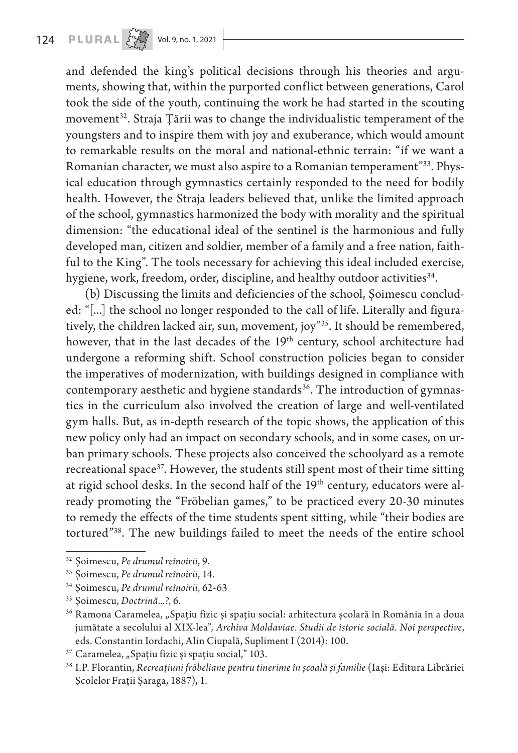and defended the king's political decisions through his theories and arguments, showing that, within the purported conflict between generations, Carol took the side of the youth, continuing the work he had started in the scouting movement<sup>32</sup>. Straja Țării was to change the individualistic temperament of the youngsters and to inspire them with joy and exuberance, which would amount to remarkable results on the moral and national-ethnic terrain: "if we want a Romanian character, we must also aspire to a Romanian temperament"33. Physical education through gymnastics certainly responded to the need for bodily health. However, the Straja leaders believed that, unlike the limited approach of the school, gymnastics harmonized the body with morality and the spiritual dimension: "the educational ideal of the sentinel is the harmonious and fully developed man, citizen and soldier, member of a family and a free nation, faithful to the King". The tools necessary for achieving this ideal included exercise, hygiene, work, freedom, order, discipline, and healthy outdoor activities<sup>34</sup>.

(b) Discussing the limits and deficiencies of the school, Șoimescu concluded: "[...] the school no longer responded to the call of life. Literally and figuratively, the children lacked air, sun, movement, joy"35. It should be remembered, however, that in the last decades of the 19<sup>th</sup> century, school architecture had undergone a reforming shift. School construction policies began to consider the imperatives of modernization, with buildings designed in compliance with contemporary aesthetic and hygiene standards<sup>36</sup>. The introduction of gymnastics in the curriculum also involved the creation of large and well-ventilated gym halls. But, as in-depth research of the topic shows, the application of this new policy only had an impact on secondary schools, and in some cases, on urban primary schools. These projects also conceived the schoolyard as a remote recreational space<sup>37</sup>. However, the students still spent most of their time sitting at rigid school desks. In the second half of the 19<sup>th</sup> century, educators were already promoting the "Fröbelian games," to be practiced every 20-30 minutes to remedy the effects of the time students spent sitting, while "their bodies are tortured"38. The new buildings failed to meet the needs of the entire school

<sup>32</sup> Șoimescu, *Pe drumul reînoirii*, 9.

<sup>33</sup> Șoimescu, *Pe drumul reînoirii*, 14.

<sup>34</sup> Șoimescu, *Pe drumul reînoirii*, 62-63

<sup>35</sup> Șoimescu, *Doctrină...?*, 6.

<sup>&</sup>lt;sup>36</sup> Ramona Caramelea, "Spațiu fizic și spațiu social: arhitectura școlară în România în a doua jumătate a secolului al XIX-lea", *Archiva Moldaviae. Studii de istorie socială. Noi perspective*, eds. Constantin Iordachi, Alin Ciupală, Supliment I (2014): 100.

 $37$  Caramelea, "Spațiu fizic și spațiu social," 103.

<sup>38</sup> I.P. Florantin, *Recreațiuni fröbeliane pentru tinerime în școală și familie* (Iași: Editura Librăriei Școlelor Frații Șaraga, 1887), 1.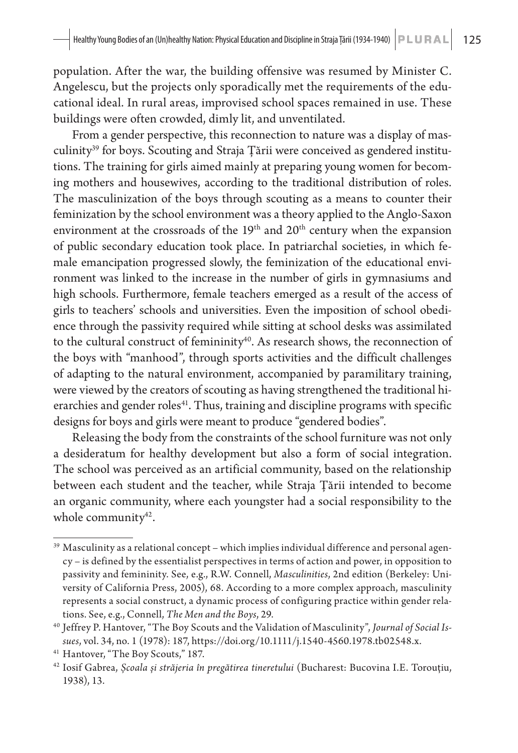population. After the war, the building offensive was resumed by Minister C. Angelescu, but the projects only sporadically met the requirements of the educational ideal. In rural areas, improvised school spaces remained in use. These buildings were often crowded, dimly lit, and unventilated.

From a gender perspective, this reconnection to nature was a display of masculinity<sup>39</sup> for boys. Scouting and Straja Țării were conceived as gendered institutions. The training for girls aimed mainly at preparing young women for becoming mothers and housewives, according to the traditional distribution of roles. The masculinization of the boys through scouting as a means to counter their feminization by the school environment was a theory applied to the Anglo-Saxon environment at the crossroads of the  $19<sup>th</sup>$  and  $20<sup>th</sup>$  century when the expansion of public secondary education took place. In patriarchal societies, in which female emancipation progressed slowly, the feminization of the educational environment was linked to the increase in the number of girls in gymnasiums and high schools. Furthermore, female teachers emerged as a result of the access of girls to teachers' schools and universities. Even the imposition of school obedience through the passivity required while sitting at school desks was assimilated to the cultural construct of femininity<sup>40</sup>. As research shows, the reconnection of the boys with "manhood", through sports activities and the difficult challenges of adapting to the natural environment, accompanied by paramilitary training, were viewed by the creators of scouting as having strengthened the traditional hierarchies and gender roles<sup>41</sup>. Thus, training and discipline programs with specific designs for boys and girls were meant to produce "gendered bodies".

Releasing the body from the constraints of the school furniture was not only a desideratum for healthy development but also a form of social integration. The school was perceived as an artificial community, based on the relationship between each student and the teacher, while Straja Țării intended to become an organic community, where each youngster had a social responsibility to the whole community $42$ .

<sup>&</sup>lt;sup>39</sup> Masculinity as a relational concept – which implies individual difference and personal agency – is defined by the essentialist perspectives in terms of action and power, in opposition to passivity and femininity. See, e.g., R.W. Connell, *Masculinities*, 2nd edition (Berkeley: University of California Press, 2005), 68. According to a more complex approach, masculinity represents a social construct, a dynamic process of configuring practice within gender relations. See, e.g., Connell, *The Men and the Boys*, 29.

<sup>40</sup> Jeffrey P. Hantover, "The Boy Scouts and the Validation of Masculinity", *Journal of Social Issues*, vol. 34, no. 1 (1978): 187, https://doi.org/10.1111/j.1540-4560.1978.tb02548.x.

<sup>41</sup> Hantover, "The Boy Scouts," 187.

<sup>42</sup> Iosif Gabrea, *Școala și străjeria în pregătirea tineretului* (Bucharest: Bucovina I.E. Torouțiu, 1938), 13.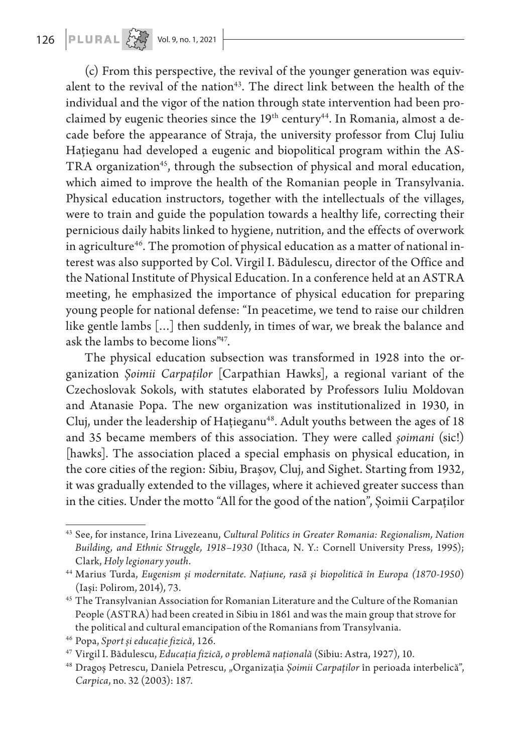(c) From this perspective, the revival of the younger generation was equivalent to the revival of the nation<sup>43</sup>. The direct link between the health of the individual and the vigor of the nation through state intervention had been proclaimed by eugenic theories since the  $19<sup>th</sup>$  century<sup>44</sup>. In Romania, almost a decade before the appearance of Straja, the university professor from Cluj Iuliu Hațieganu had developed a eugenic and biopolitical program within the AS-TRA organization<sup>45</sup>, through the subsection of physical and moral education, which aimed to improve the health of the Romanian people in Transylvania. Physical education instructors, together with the intellectuals of the villages, were to train and guide the population towards a healthy life, correcting their pernicious daily habits linked to hygiene, nutrition, and the effects of overwork in agriculture<sup>46</sup>. The promotion of physical education as a matter of national interest was also supported by Col. Virgil I. Bădulescu, director of the Office and the National Institute of Physical Education. In a conference held at an ASTRA meeting, he emphasized the importance of physical education for preparing young people for national defense: "In peacetime, we tend to raise our children like gentle lambs […] then suddenly, in times of war, we break the balance and ask the lambs to become lions"47.

The physical education subsection was transformed in 1928 into the organization *Șoimii Carpaților* [Carpathian Hawks], a regional variant of the Czechoslovak Sokols, with statutes elaborated by Professors Iuliu Moldovan and Atanasie Popa. The new organization was institutionalized in 1930, in Cluj, under the leadership of Hațieganu<sup>48</sup>. Adult youths between the ages of 18 and 35 became members of this association. They were called *șoimani* (sic!) [hawks]. The association placed a special emphasis on physical education, in the core cities of the region: Sibiu, Brașov, Cluj, and Sighet. Starting from 1932, it was gradually extended to the villages, where it achieved greater success than in the cities. Under the motto "All for the good of the nation", Șoimii Carpaților

<sup>43</sup> See, for instance, Irina Livezeanu, *Cultural Politics in Greater Romania: Regionalism, Nation Building, and Ethnic Struggle, 1918–1930* (Ithaca, N. Y.: Cornell University Press, 1995); Clark, *Holy legionary youth*. 44 Marius Turda, *Eugenism și modernitate. Națiune, rasă și biopolitică în Europa (1870-1950*)

<sup>(</sup>Iași: Polirom, 2014), 73.

<sup>&</sup>lt;sup>45</sup> The Transylvanian Association for Romanian Literature and the Culture of the Romanian People (ASTRA) had been created in Sibiu in 1861 and was the main group that strove for the political and cultural emancipation of the Romanians from Transylvania.

<sup>46</sup> Popa, *Sport și educație fizică*, 126.

<sup>47</sup> Virgil I. Bădulescu, *Educația fizică, o problemă națională* (Sibiu: Astra, 1927), 10.

<sup>48</sup> Dragoș Petrescu, Daniela Petrescu, "Organizația *Șoimii Carpaților* în perioada interbelică", *Carpica*, no. 32 (2003): 187.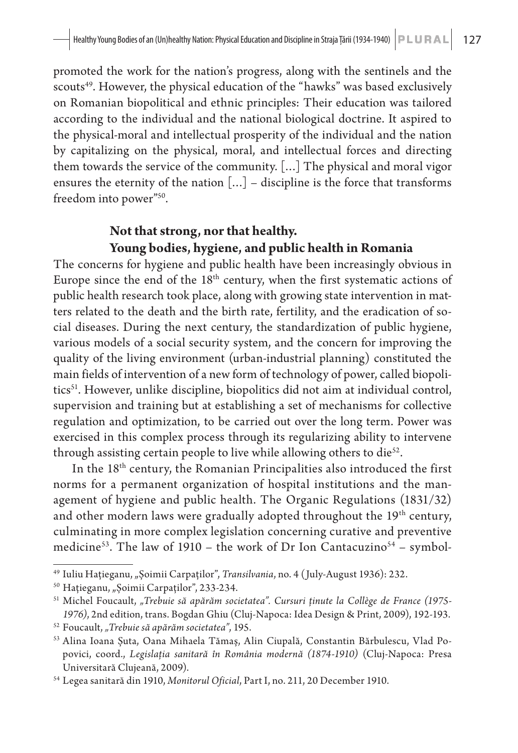promoted the work for the nation's progress, along with the sentinels and the scouts<sup>49</sup>. However, the physical education of the "hawks" was based exclusively on Romanian biopolitical and ethnic principles: Their education was tailored according to the individual and the national biological doctrine. It aspired to the physical-moral and intellectual prosperity of the individual and the nation by capitalizing on the physical, moral, and intellectual forces and directing them towards the service of the community. […] The physical and moral vigor ensures the eternity of the nation  $[...]$  – discipline is the force that transforms freedom into power"50.

#### **Not that strong, nor that healthy. Young bodies, hygiene, and public health in Romania**

The concerns for hygiene and public health have been increasingly obvious in Europe since the end of the 18<sup>th</sup> century, when the first systematic actions of public health research took place, along with growing state intervention in matters related to the death and the birth rate, fertility, and the eradication of social diseases. During the next century, the standardization of public hygiene, various models of a social security system, and the concern for improving the quality of the living environment (urban-industrial planning) constituted the main fields of intervention of a new form of technology of power, called biopolitics<sup>51</sup>. However, unlike discipline, biopolitics did not aim at individual control, supervision and training but at establishing a set of mechanisms for collective regulation and optimization, to be carried out over the long term. Power was exercised in this complex process through its regularizing ability to intervene through assisting certain people to live while allowing others to die $52$ .

In the 18<sup>th</sup> century, the Romanian Principalities also introduced the first norms for a permanent organization of hospital institutions and the management of hygiene and public health. The Organic Regulations (1831/32) and other modern laws were gradually adopted throughout the 19<sup>th</sup> century, culminating in more complex legislation concerning curative and preventive medicine<sup>53</sup>. The law of 1910 – the work of Dr Ion Cantacuzino<sup>54</sup> – symbol-

<sup>&</sup>lt;sup>49</sup> Iuliu Hațieganu, "Șoimii Carpaților", *Transilvania*, no. 4 (July-August 1936): 232.

<sup>&</sup>lt;sup>50</sup> Hațieganu, "Șoimii Carpaților", 233-234.

<sup>&</sup>lt;sup>51</sup> Michel Foucault, "Trebuie să apărăm societatea". Cursuri ținute la Collège de France (1975-*1976)*, 2nd edition, trans. Bogdan Ghiu (Cluj-Napoca: Idea Design & Print, 2009), 192-193. <sup>52</sup> Foucault, *"Trebuie să apărăm societatea"*, 195.

<sup>53</sup> Alina Ioana Șuta, Oana Mihaela Tămaș, Alin Ciupală, Constantin Bărbulescu, Vlad Popovici, coord., *Legislația sanitară în România modernă (1874-1910)* (Cluj-Napoca: Presa Universitară Clujeană, 2009).

<sup>54</sup> Legea sanitară din 1910, *Monitorul Oficial*, Part I, no. 211, 20 December 1910.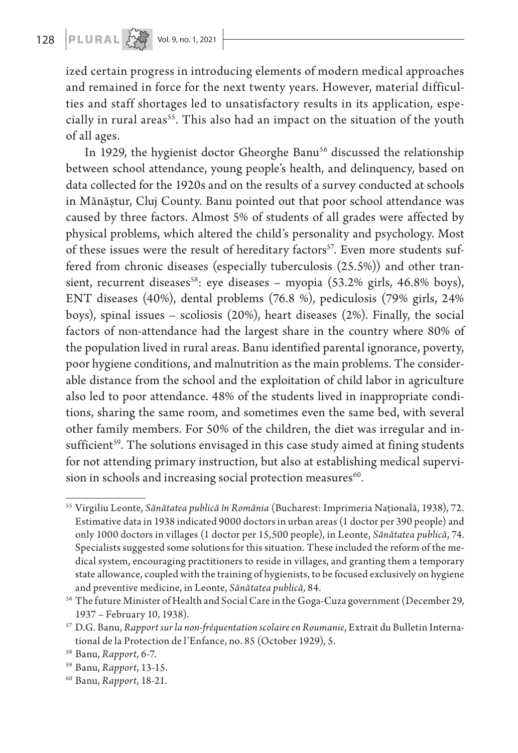ized certain progress in introducing elements of modern medical approaches and remained in force for the next twenty years. However, material difficulties and staff shortages led to unsatisfactory results in its application, especially in rural areas<sup>55</sup>. This also had an impact on the situation of the youth of all ages.

In 1929, the hygienist doctor Gheorghe Banu<sup>56</sup> discussed the relationship between school attendance, young people's health, and delinquency, based on data collected for the 1920s and on the results of a survey conducted at schools in Mănăștur, Cluj County. Banu pointed out that poor school attendance was caused by three factors. Almost 5% of students of all grades were affected by physical problems, which altered the child's personality and psychology. Most of these issues were the result of hereditary factors<sup>57</sup>. Even more students suffered from chronic diseases (especially tuberculosis (25.5%)) and other transient, recurrent diseases<sup>58</sup>: eye diseases – myopia (53.2% girls, 46.8% boys), ENT diseases (40%), dental problems (76.8 %), pediculosis (79% girls, 24% boys), spinal issues – scoliosis (20%), heart diseases (2%). Finally, the social factors of non-attendance had the largest share in the country where 80% of the population lived in rural areas. Banu identified parental ignorance, poverty, poor hygiene conditions, and malnutrition as the main problems. The considerable distance from the school and the exploitation of child labor in agriculture also led to poor attendance. 48% of the students lived in inappropriate conditions, sharing the same room, and sometimes even the same bed, with several other family members. For 50% of the children, the diet was irregular and insufficient<sup>59</sup>. The solutions envisaged in this case study aimed at fining students for not attending primary instruction, but also at establishing medical supervision in schools and increasing social protection measures<sup>60</sup>.

<sup>55</sup> Virgiliu Leonte, *Sănătatea publică în România* (Bucharest: Imprimeria Națională, 1938), 72. Estimative data in 1938 indicated 9000 doctors in urban areas (1 doctor per 390 people) and only 1000 doctors in villages (1 doctor per 15,500 people), in Leonte, *Sănătatea publică*, 74. Specialists suggested some solutions for this situation. These included the reform of the medical system, encouraging practitioners to reside in villages, and granting them a temporary state allowance, coupled with the training of hygienists, to be focused exclusively on hygiene and preventive medicine, in Leonte, *Sănătatea publică*, 84.

<sup>56</sup> The future Minister of Health and Social Care in the Goga-Cuza government (December 29, 1937 – February 10, 1938).

<sup>57</sup> D.G. Banu, *Rapport sur la non-fréquentation scolaire en Roumanie*, Extrait du Bulletin International de la Protection de l'Enfance, no. 85 (October 1929), 5.

<sup>58</sup> Banu, *Rapport*, 6-7.

<sup>59</sup> Banu, *Rapport*, 13-15.

<sup>60</sup> Banu, *Rapport*, 18-21.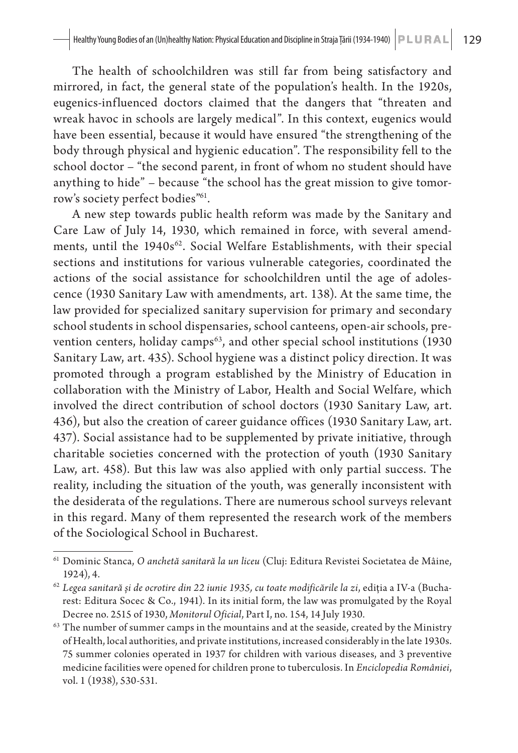The health of schoolchildren was still far from being satisfactory and mirrored, in fact, the general state of the population's health. In the 1920s, eugenics-influenced doctors claimed that the dangers that "threaten and wreak havoc in schools are largely medical". In this context, eugenics would have been essential, because it would have ensured "the strengthening of the body through physical and hygienic education". The responsibility fell to the school doctor – "the second parent, in front of whom no student should have anything to hide" – because "the school has the great mission to give tomorrow's society perfect bodies"61.

A new step towards public health reform was made by the Sanitary and Care Law of July 14, 1930, which remained in force, with several amendments, until the 1940s<sup>62</sup>. Social Welfare Establishments, with their special sections and institutions for various vulnerable categories, coordinated the actions of the social assistance for schoolchildren until the age of adolescence (1930 Sanitary Law with amendments, art. 138). At the same time, the law provided for specialized sanitary supervision for primary and secondary school students in school dispensaries, school canteens, open-air schools, prevention centers, holiday camps<sup>63</sup>, and other special school institutions (1930) Sanitary Law, art. 435). School hygiene was a distinct policy direction. It was promoted through a program established by the Ministry of Education in collaboration with the Ministry of Labor, Health and Social Welfare, which involved the direct contribution of school doctors (1930 Sanitary Law, art. 436), but also the creation of career guidance offices (1930 Sanitary Law, art. 437). Social assistance had to be supplemented by private initiative, through charitable societies concerned with the protection of youth (1930 Sanitary Law, art. 458). But this law was also applied with only partial success. The reality, including the situation of the youth, was generally inconsistent with the desiderata of the regulations. There are numerous school surveys relevant in this regard. Many of them represented the research work of the members of the Sociological School in Bucharest.

<sup>61</sup> Dominic Stanca, *O anchetă sanitară la un liceu* (Cluj: Editura Revistei Societatea de Mâine, 1924), 4.

<sup>62</sup> *Legea sanitară și de ocrotire din 22 iunie 1935, cu toate modificările la zi*, ediția a IV-a (Bucharest: Editura Socec & Co., 1941). In its initial form, the law was promulgated by the Royal Decree no. 2515 of 1930, *Monitorul Oficial*, Part I, no. 154, 14 July 1930.

<sup>&</sup>lt;sup>63</sup> The number of summer camps in the mountains and at the seaside, created by the Ministry of Health, local authorities, and private institutions, increased considerably in the late 1930s. 75 summer colonies operated in 1937 for children with various diseases, and 3 preventive medicine facilities were opened for children prone to tuberculosis. In *Enciclopedia României*, vol. 1 (1938), 530-531.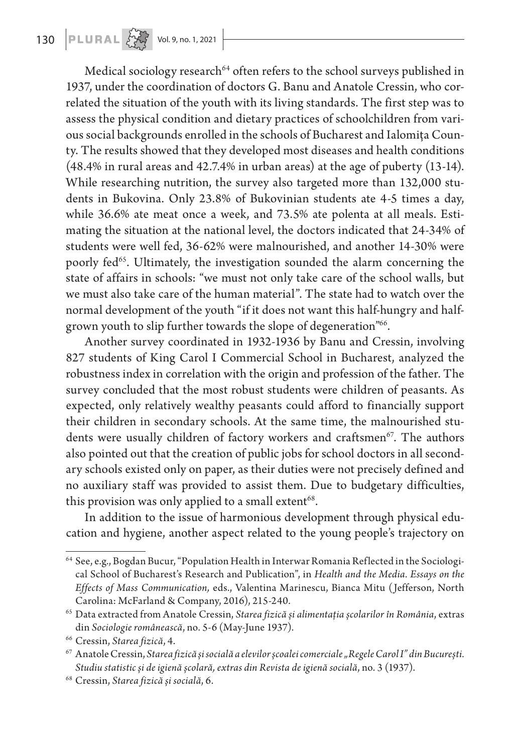130 **PLURAL**  $\left\{\begin{matrix} 1 & 0 \\ 0 & 0 \end{matrix}\right\}$  Vol. 9, no. 1, 2021

Medical sociology research<sup>64</sup> often refers to the school surveys published in 1937, under the coordination of doctors G. Banu and Anatole Cressin, who correlated the situation of the youth with its living standards. The first step was to assess the physical condition and dietary practices of schoolchildren from various social backgrounds enrolled in the schools of Bucharest and Ialomița County. The results showed that they developed most diseases and health conditions (48.4% in rural areas and 42.7.4% in urban areas) at the age of puberty (13-14). While researching nutrition, the survey also targeted more than 132,000 students in Bukovina. Only 23.8% of Bukovinian students ate 4-5 times a day, while 36.6% ate meat once a week, and 73.5% ate polenta at all meals. Estimating the situation at the national level, the doctors indicated that 24-34% of students were well fed, 36-62% were malnourished, and another 14-30% were poorly fed<sup>65</sup>. Ultimately, the investigation sounded the alarm concerning the state of affairs in schools: "we must not only take care of the school walls, but we must also take care of the human material". The state had to watch over the normal development of the youth "if it does not want this half-hungry and halfgrown youth to slip further towards the slope of degeneration"66.

Another survey coordinated in 1932-1936 by Banu and Cressin, involving 827 students of King Carol I Commercial School in Bucharest, analyzed the robustness index in correlation with the origin and profession of the father. The survey concluded that the most robust students were children of peasants. As expected, only relatively wealthy peasants could afford to financially support their children in secondary schools. At the same time, the malnourished students were usually children of factory workers and craftsmen<sup>67</sup>. The authors also pointed out that the creation of public jobs for school doctors in all secondary schools existed only on paper, as their duties were not precisely defined and no auxiliary staff was provided to assist them. Due to budgetary difficulties, this provision was only applied to a small extent<sup>68</sup>.

In addition to the issue of harmonious development through physical education and hygiene, another aspect related to the young people's trajectory on

<sup>64</sup> See, e.g., Bogdan Bucur, "Population Health in Interwar Romania Reflected in the Sociological School of Bucharest's Research and Publication", in *Health and the Media. Essays on the Effects of Mass Communication,* eds., Valentina Marinescu, Bianca Mitu (Jefferson, North Carolina: McFarland & Company, 2016), 215-240.

<sup>65</sup> Data extracted from Anatole Cressin, *Starea fizică și alimentația școlarilor în România*, extras din *Sociologie românească*, no. 5-6 (May-June 1937).

<sup>66</sup> Cressin, *Starea fizică*, 4.

<sup>67</sup> Anatole Cressin, *Starea fizică și socială a elevilor școalei comerciale "Regele Carol I" din București. Studiu statistic și de igienă școlară, extras din Revista de igienă socială*, no. 3 (1937).

<sup>68</sup> Cressin, *Starea fizică și socială*, 6.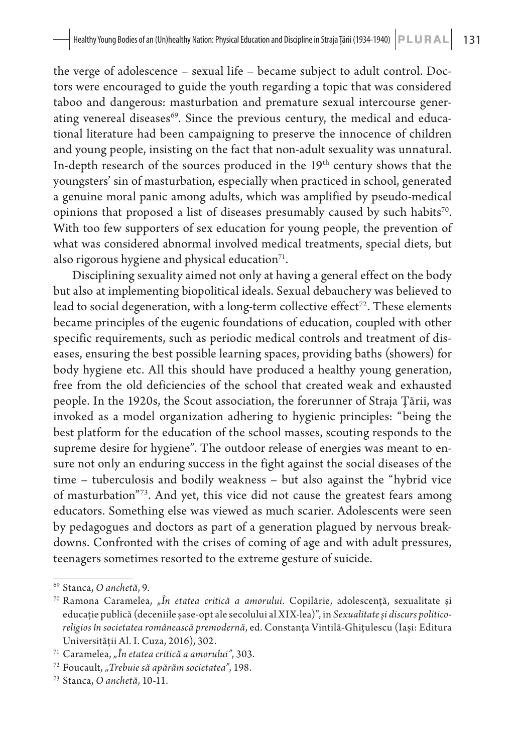the verge of adolescence – sexual life – became subject to adult control. Doctors were encouraged to guide the youth regarding a topic that was considered taboo and dangerous: masturbation and premature sexual intercourse generating venereal diseases<sup>69</sup>. Since the previous century, the medical and educational literature had been campaigning to preserve the innocence of children and young people, insisting on the fact that non-adult sexuality was unnatural. In-depth research of the sources produced in the 19th century shows that the youngsters' sin of masturbation, especially when practiced in school, generated a genuine moral panic among adults, which was amplified by pseudo-medical opinions that proposed a list of diseases presumably caused by such habits<sup>70</sup>. With too few supporters of sex education for young people, the prevention of what was considered abnormal involved medical treatments, special diets, but also rigorous hygiene and physical education $71$ .

Disciplining sexuality aimed not only at having a general effect on the body but also at implementing biopolitical ideals. Sexual debauchery was believed to lead to social degeneration, with a long-term collective effect<sup>72</sup>. These elements became principles of the eugenic foundations of education, coupled with other specific requirements, such as periodic medical controls and treatment of diseases, ensuring the best possible learning spaces, providing baths (showers) for body hygiene etc. All this should have produced a healthy young generation, free from the old deficiencies of the school that created weak and exhausted people. In the 1920s, the Scout association, the forerunner of Straja Țării, was invoked as a model organization adhering to hygienic principles: "being the best platform for the education of the school masses, scouting responds to the supreme desire for hygiene". The outdoor release of energies was meant to ensure not only an enduring success in the fight against the social diseases of the time – tuberculosis and bodily weakness – but also against the "hybrid vice of masturbation"73. And yet, this vice did not cause the greatest fears among educators. Something else was viewed as much scarier. Adolescents were seen by pedagogues and doctors as part of a generation plagued by nervous breakdowns. Confronted with the crises of coming of age and with adult pressures, teenagers sometimes resorted to the extreme gesture of suicide.

<sup>69</sup> Stanca, *O anchetă*, 9.

<sup>&</sup>lt;sup>70</sup> Ramona Caramelea, "*În etatea critică a amorului*. Copilărie, adolescență, sexualitate și educație publică (deceniile șase-opt ale secolului al XIX-lea)", in *Sexualitate și discurs politicoreligios în societatea românească premodernă*, ed. Constanța Vintilă-Ghițulescu (Iași: Editura Universității Al. I. Cuza, 2016), 302.

<sup>71</sup> Caramelea, *"În etatea critică a amorului"*, 303.

<sup>72</sup> Foucault, *"Trebuie să apărăm societatea"*, 198.

<sup>73</sup> Stanca, *O anchetă*, 10-11.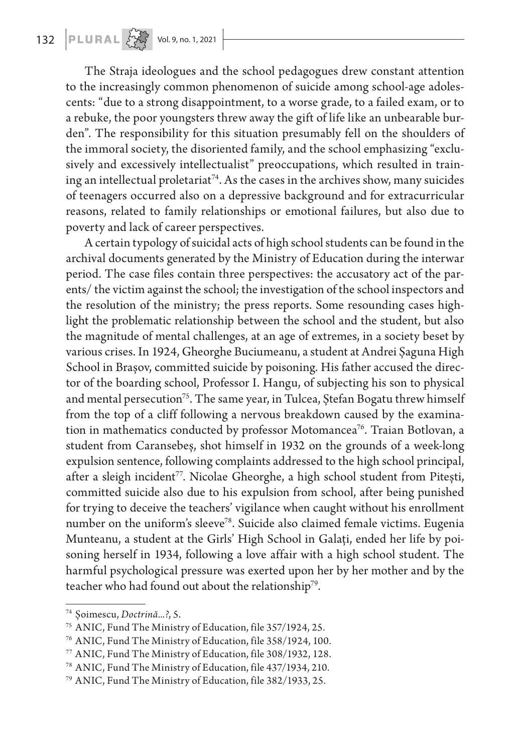The Straja ideologues and the school pedagogues drew constant attention to the increasingly common phenomenon of suicide among school-age adolescents: "due to a strong disappointment, to a worse grade, to a failed exam, or to a rebuke, the poor youngsters threw away the gift of life like an unbearable burden". The responsibility for this situation presumably fell on the shoulders of the immoral society, the disoriented family, and the school emphasizing "exclusively and excessively intellectualist" preoccupations, which resulted in training an intellectual proletariat<sup>74</sup>. As the cases in the archives show, many suicides of teenagers occurred also on a depressive background and for extracurricular reasons, related to family relationships or emotional failures, but also due to poverty and lack of career perspectives.

A certain typology of suicidal acts of high school students can be found in the archival documents generated by the Ministry of Education during the interwar period. The case files contain three perspectives: the accusatory act of the parents/ the victim against the school; the investigation of the school inspectors and the resolution of the ministry; the press reports. Some resounding cases highlight the problematic relationship between the school and the student, but also the magnitude of mental challenges, at an age of extremes, in a society beset by various crises. In 1924, Gheorghe Buciumeanu, a student at Andrei Șaguna High School in Brașov, committed suicide by poisoning. His father accused the director of the boarding school, Professor I. Hangu, of subjecting his son to physical and mental persecution<sup>75</sup>. The same year, in Tulcea, Ștefan Bogatu threw himself from the top of a cliff following a nervous breakdown caused by the examination in mathematics conducted by professor Motomancea<sup>76</sup>. Traian Botlovan, a student from Caransebeș, shot himself in 1932 on the grounds of a week-long expulsion sentence, following complaints addressed to the high school principal, after a sleigh incident<sup>77</sup>. Nicolae Gheorghe, a high school student from Pitești, committed suicide also due to his expulsion from school, after being punished for trying to deceive the teachers' vigilance when caught without his enrollment number on the uniform's sleeve<sup>78</sup>. Suicide also claimed female victims. Eugenia Munteanu, a student at the Girls' High School in Galați, ended her life by poisoning herself in 1934, following a love affair with a high school student. The harmful psychological pressure was exerted upon her by her mother and by the teacher who had found out about the relationship<sup>79</sup>.

<sup>74</sup> Șoimescu, *Doctrină...?*, 5.

<sup>75</sup> ANIC, Fund The Ministry of Education, file 357/1924, 25.

<sup>76</sup> ANIC, Fund The Ministry of Education, file 358/1924, 100.

<sup>77</sup> ANIC, Fund The Ministry of Education, file 308/1932, 128.

<sup>78</sup> ANIC, Fund The Ministry of Education, file 437/1934, 210.

<sup>79</sup> ANIC, Fund The Ministry of Education, file 382/1933, 25.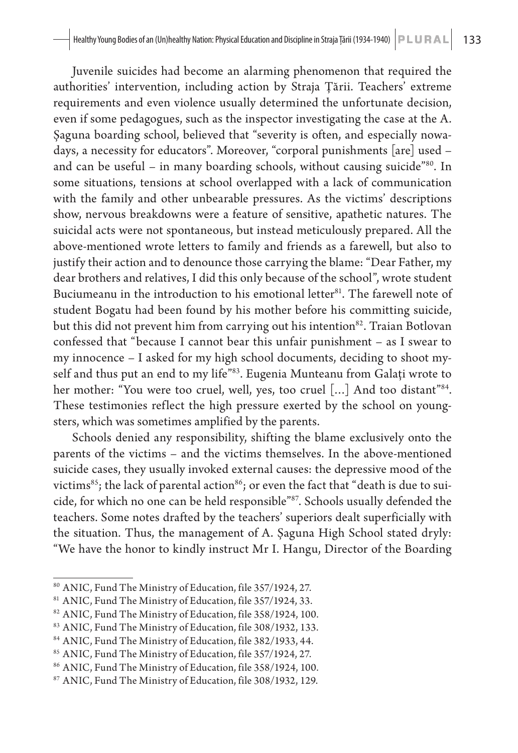Juvenile suicides had become an alarming phenomenon that required the authorities' intervention, including action by Straja Țării. Teachers' extreme requirements and even violence usually determined the unfortunate decision, even if some pedagogues, such as the inspector investigating the case at the A. Șaguna boarding school, believed that "severity is often, and especially nowadays, a necessity for educators". Moreover, "corporal punishments [are] used – and can be useful – in many boarding schools, without causing suicide<sup>"80</sup>. In some situations, tensions at school overlapped with a lack of communication with the family and other unbearable pressures. As the victims' descriptions show, nervous breakdowns were a feature of sensitive, apathetic natures. The suicidal acts were not spontaneous, but instead meticulously prepared. All the above-mentioned wrote letters to family and friends as a farewell, but also to justify their action and to denounce those carrying the blame: "Dear Father, my dear brothers and relatives, I did this only because of the school", wrote student Buciumeanu in the introduction to his emotional letter<sup>81</sup>. The farewell note of student Bogatu had been found by his mother before his committing suicide, but this did not prevent him from carrying out his intention<sup>82</sup>. Traian Botlovan confessed that "because I cannot bear this unfair punishment – as I swear to my innocence – I asked for my high school documents, deciding to shoot myself and thus put an end to my life"83. Eugenia Munteanu from Galați wrote to her mother: "You were too cruel, well, yes, too cruel [...] And too distant"<sup>84</sup>. These testimonies reflect the high pressure exerted by the school on youngsters, which was sometimes amplified by the parents.

Schools denied any responsibility, shifting the blame exclusively onto the parents of the victims – and the victims themselves. In the above-mentioned suicide cases, they usually invoked external causes: the depressive mood of the victims<sup>85</sup>; the lack of parental action<sup>86</sup>; or even the fact that "death is due to suicide, for which no one can be held responsible"87. Schools usually defended the teachers. Some notes drafted by the teachers' superiors dealt superficially with the situation. Thus, the management of A. Șaguna High School stated dryly: "We have the honor to kindly instruct Mr I. Hangu, Director of the Boarding

 $^{\text{80}}$  ANIC, Fund The Ministry of Education, file 357/1924, 27.

<sup>81</sup> ANIC, Fund The Ministry of Education, file 357/1924, 33.

<sup>82</sup> ANIC, Fund The Ministry of Education, file 358/1924, 100.

<sup>83</sup> ANIC, Fund The Ministry of Education, file 308/1932, 133.

<sup>84</sup> ANIC, Fund The Ministry of Education, file 382/1933, 44.

<sup>85</sup> ANIC, Fund The Ministry of Education, file 357/1924, 27.

<sup>86</sup> ANIC, Fund The Ministry of Education, file 358/1924, 100.

<sup>87</sup> ANIC, Fund The Ministry of Education, file 308/1932, 129.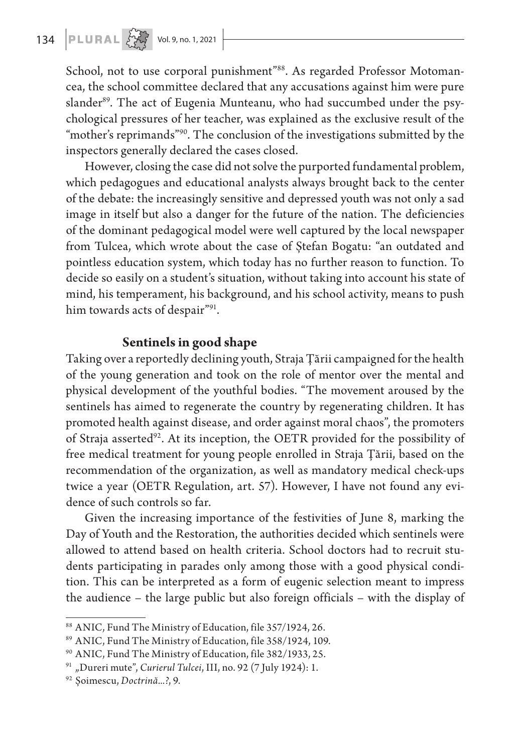School, not to use corporal punishment"<sup>88</sup>. As regarded Professor Motomancea, the school committee declared that any accusations against him were pure slander<sup>89</sup>. The act of Eugenia Munteanu, who had succumbed under the psychological pressures of her teacher, was explained as the exclusive result of the "mother's reprimands"<sup>90</sup>. The conclusion of the investigations submitted by the inspectors generally declared the cases closed.

However, closing the case did not solve the purported fundamental problem, which pedagogues and educational analysts always brought back to the center of the debate: the increasingly sensitive and depressed youth was not only a sad image in itself but also a danger for the future of the nation. The deficiencies of the dominant pedagogical model were well captured by the local newspaper from Tulcea, which wrote about the case of Ștefan Bogatu: "an outdated and pointless education system, which today has no further reason to function. To decide so easily on a student's situation, without taking into account his state of mind, his temperament, his background, and his school activity, means to push him towards acts of despair"91.

#### **Sentinels in good shape**

Taking over a reportedly declining youth, Straja Țării campaigned for the health of the young generation and took on the role of mentor over the mental and physical development of the youthful bodies. "The movement aroused by the sentinels has aimed to regenerate the country by regenerating children. It has promoted health against disease, and order against moral chaos", the promoters of Straja asserted<sup>92</sup>. At its inception, the OETR provided for the possibility of free medical treatment for young people enrolled in Straja Țării, based on the recommendation of the organization, as well as mandatory medical check-ups twice a year (OETR Regulation, art. 57). However, I have not found any evidence of such controls so far.

Given the increasing importance of the festivities of June 8, marking the Day of Youth and the Restoration, the authorities decided which sentinels were allowed to attend based on health criteria. School doctors had to recruit students participating in parades only among those with a good physical condition. This can be interpreted as a form of eugenic selection meant to impress the audience – the large public but also foreign officials – with the display of

<sup>88</sup> ANIC, Fund The Ministry of Education, file 357/1924, 26.

<sup>89</sup> ANIC, Fund The Ministry of Education, file 358/1924, 109.

<sup>90</sup> ANIC, Fund The Ministry of Education, file 382/1933, 25.

<sup>&</sup>lt;sup>91</sup> "Dureri mute", *Curierul Tulcei*, III, no. 92 (7 July 1924): 1.

<sup>92</sup> Șoimescu, *Doctrină...?*, 9.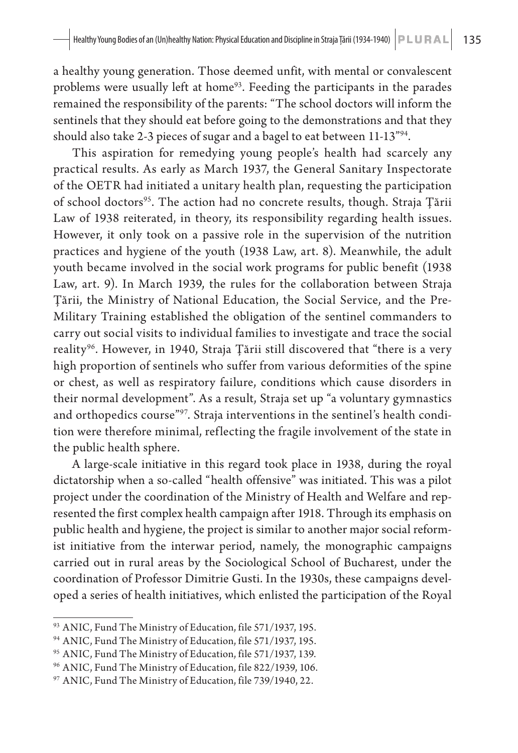a healthy young generation. Those deemed unfit, with mental or convalescent problems were usually left at home<sup>93</sup>. Feeding the participants in the parades remained the responsibility of the parents: "The school doctors will inform the sentinels that they should eat before going to the demonstrations and that they should also take 2-3 pieces of sugar and a bagel to eat between 11-13"94.

This aspiration for remedying young people's health had scarcely any practical results. As early as March 1937, the General Sanitary Inspectorate of the OETR had initiated a unitary health plan, requesting the participation of school doctors<sup>95</sup>. The action had no concrete results, though. Straja Țării Law of 1938 reiterated, in theory, its responsibility regarding health issues. However, it only took on a passive role in the supervision of the nutrition practices and hygiene of the youth (1938 Law, art. 8). Meanwhile, the adult youth became involved in the social work programs for public benefit (1938 Law, art. 9). In March 1939, the rules for the collaboration between Straja Țării, the Ministry of National Education, the Social Service, and the Pre-Military Training established the obligation of the sentinel commanders to carry out social visits to individual families to investigate and trace the social reality<sup>96</sup>. However, in 1940, Straja Țării still discovered that "there is a very high proportion of sentinels who suffer from various deformities of the spine or chest, as well as respiratory failure, conditions which cause disorders in their normal development". As a result, Straja set up "a voluntary gymnastics and orthopedics course"<sup>97</sup>. Straja interventions in the sentinel's health condition were therefore minimal, reflecting the fragile involvement of the state in the public health sphere.

A large-scale initiative in this regard took place in 1938, during the royal dictatorship when a so-called "health offensive" was initiated. This was a pilot project under the coordination of the Ministry of Health and Welfare and represented the first complex health campaign after 1918. Through its emphasis on public health and hygiene, the project is similar to another major social reformist initiative from the interwar period, namely, the monographic campaigns carried out in rural areas by the Sociological School of Bucharest, under the coordination of Professor Dimitrie Gusti. In the 1930s, these campaigns developed a series of health initiatives, which enlisted the participation of the Royal

<sup>93</sup> ANIC, Fund The Ministry of Education, file 571/1937, 195.

<sup>94</sup> ANIC, Fund The Ministry of Education, file 571/1937, 195.

<sup>95</sup> ANIC, Fund The Ministry of Education, file 571/1937, 139.

<sup>96</sup> ANIC, Fund The Ministry of Education, file 822/1939, 106.

<sup>97</sup> ANIC, Fund The Ministry of Education, file 739/1940, 22.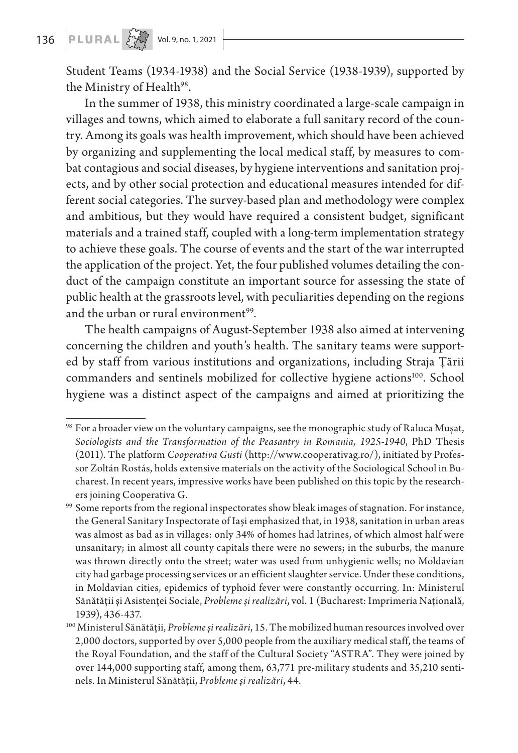## **136 PLURAL**  $\left\{\begin{matrix} 1 & 0 & 0 \\ 0 & 1 & 0 \\ 0 & 0 & 0 \end{matrix}\right\}$  Vol. 9, no. 1, 2021

Student Teams (1934-1938) and the Social Service (1938-1939), supported by the Ministry of Health<sup>98</sup>.

In the summer of 1938, this ministry coordinated a large-scale campaign in villages and towns, which aimed to elaborate a full sanitary record of the country. Among its goals was health improvement, which should have been achieved by organizing and supplementing the local medical staff, by measures to combat contagious and social diseases, by hygiene interventions and sanitation projects, and by other social protection and educational measures intended for different social categories. The survey-based plan and methodology were complex and ambitious, but they would have required a consistent budget, significant materials and a trained staff, coupled with a long-term implementation strategy to achieve these goals. The course of events and the start of the war interrupted the application of the project. Yet, the four published volumes detailing the conduct of the campaign constitute an important source for assessing the state of public health at the grassroots level, with peculiarities depending on the regions and the urban or rural environment<sup>99</sup>.

The health campaigns of August-September 1938 also aimed at intervening concerning the children and youth's health. The sanitary teams were supported by staff from various institutions and organizations, including Straja Țării commanders and sentinels mobilized for collective hygiene actions<sup>100</sup>. School hygiene was a distinct aspect of the campaigns and aimed at prioritizing the

 $98$  For a broader view on the voluntary campaigns, see the monographic study of Raluca Mușat, *Sociologists and the Transformation of the Peasantry in Romania, 1925-1940*, PhD Thesis (2011). The platform *Cooperativa Gusti* (http://www.cooperativag.ro/), initiated by Professor Zoltán Rostás, holds extensive materials on the activity of the Sociological School in Bucharest. In recent years, impressive works have been published on this topic by the researchers joining Cooperativa G.

<sup>99</sup> Some reports from the regional inspectorates show bleak images of stagnation. For instance, the General Sanitary Inspectorate of Iași emphasized that, in 1938, sanitation in urban areas was almost as bad as in villages: only 34% of homes had latrines, of which almost half were unsanitary; in almost all county capitals there were no sewers; in the suburbs, the manure was thrown directly onto the street; water was used from unhygienic wells; no Moldavian city had garbage processing services or an efficient slaughter service. Under these conditions, in Moldavian cities, epidemics of typhoid fever were constantly occurring. In: Ministerul Sănătății și Asistenței Sociale, *Probleme și realizări*, vol. 1 (Bucharest: Imprimeria Națională, 1939), 436-437.

<sup>100</sup> Ministerul Sănătății, *Probleme și realizări*, 15. The mobilized human resources involved over 2,000 doctors, supported by over 5,000 people from the auxiliary medical staff, the teams of the Royal Foundation, and the staff of the Cultural Society "ASTRA". They were joined by over 144,000 supporting staff, among them, 63,771 pre-military students and 35,210 sentinels. In Ministerul Sănătății, *Probleme și realizări*, 44.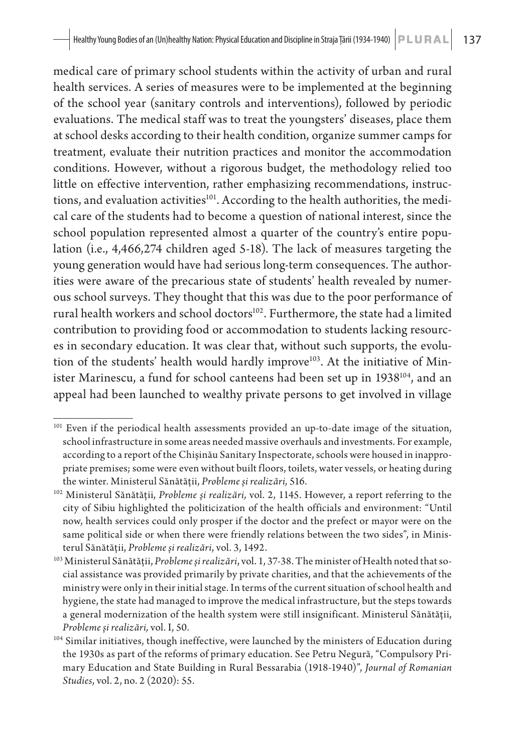medical care of primary school students within the activity of urban and rural health services. A series of measures were to be implemented at the beginning of the school year (sanitary controls and interventions), followed by periodic evaluations. The medical staff was to treat the youngsters' diseases, place them at school desks according to their health condition, organize summer camps for treatment, evaluate their nutrition practices and monitor the accommodation conditions. However, without a rigorous budget, the methodology relied too little on effective intervention, rather emphasizing recommendations, instructions, and evaluation activities<sup>101</sup>. According to the health authorities, the medical care of the students had to become a question of national interest, since the school population represented almost a quarter of the country's entire population (i.e., 4,466,274 children aged 5-18). The lack of measures targeting the young generation would have had serious long-term consequences. The authorities were aware of the precarious state of students' health revealed by numerous school surveys. They thought that this was due to the poor performance of rural health workers and school doctors<sup>102</sup>. Furthermore, the state had a limited contribution to providing food or accommodation to students lacking resources in secondary education. It was clear that, without such supports, the evolution of the students' health would hardly improve<sup>103</sup>. At the initiative of Minister Marinescu, a fund for school canteens had been set up in 1938<sup>104</sup>, and an appeal had been launched to wealthy private persons to get involved in village

<sup>&</sup>lt;sup>101</sup> Even if the periodical health assessments provided an up-to-date image of the situation, school infrastructure in some areas needed massive overhauls and investments. For example, according to a report of the Chișinău Sanitary Inspectorate, schools were housed in inappropriate premises; some were even without built floors, toilets, water vessels, or heating during the winter. Ministerul Sănătății, *Probleme și realizări,* 516.

<sup>102</sup> Ministerul Sănătății, *Probleme și realizări,* vol. 2, 1145. However, a report referring to the city of Sibiu highlighted the politicization of the health officials and environment: "Until now, health services could only prosper if the doctor and the prefect or mayor were on the same political side or when there were friendly relations between the two sides", in Ministerul Sănătății, *Probleme și realizări*, vol. 3, 1492.

<sup>103</sup> Ministerul Sănătății, *Probleme și realizări*, vol. 1, 37-38. The minister of Health noted that social assistance was provided primarily by private charities, and that the achievements of the ministry were only in their initial stage. In terms of the current situation of school health and hygiene, the state had managed to improve the medical infrastructure, but the steps towards a general modernization of the health system were still insignificant. Ministerul Sănătății, *Probleme și realizări,* vol. I, 50.

<sup>104</sup> Similar initiatives, though ineffective, were launched by the ministers of Education during the 1930s as part of the reforms of primary education. See Petru Negură, "Compulsory Primary Education and State Building in Rural Bessarabia (1918-1940)", *Journal of Romanian Studies*, vol. 2, no. 2 (2020): 55.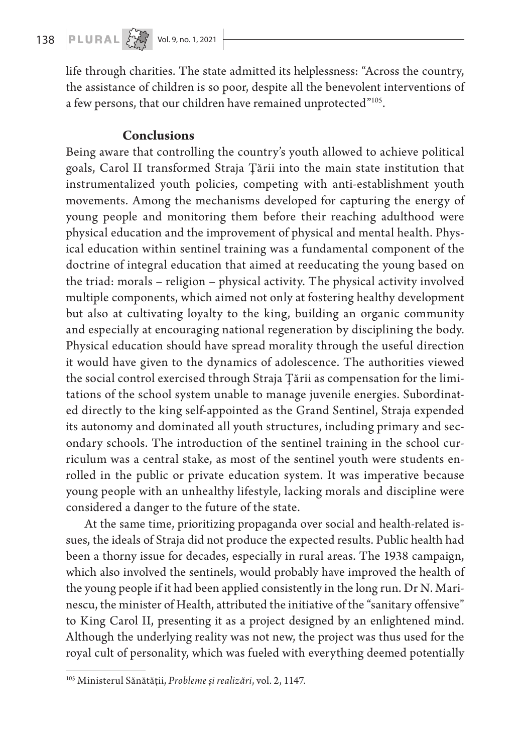# 138 **PLURAL**  $\left\{\begin{matrix} 1 & 0 & 0 \\ 0 & 1 & 0 \\ 0 & 0 & 1 \end{matrix}\right\}$  Vol. 9, no. 1, 2021

life through charities. The state admitted its helplessness: "Across the country, the assistance of children is so poor, despite all the benevolent interventions of a few persons, that our children have remained unprotected"<sup>105</sup>.

#### **Conclusions**

Being aware that controlling the country's youth allowed to achieve political goals, Carol II transformed Straja Țării into the main state institution that instrumentalized youth policies, competing with anti-establishment youth movements. Among the mechanisms developed for capturing the energy of young people and monitoring them before their reaching adulthood were physical education and the improvement of physical and mental health. Physical education within sentinel training was a fundamental component of the doctrine of integral education that aimed at reeducating the young based on the triad: morals – religion – physical activity. The physical activity involved multiple components, which aimed not only at fostering healthy development but also at cultivating loyalty to the king, building an organic community and especially at encouraging national regeneration by disciplining the body. Physical education should have spread morality through the useful direction it would have given to the dynamics of adolescence. The authorities viewed the social control exercised through Straja Țării as compensation for the limitations of the school system unable to manage juvenile energies. Subordinated directly to the king self-appointed as the Grand Sentinel, Straja expended its autonomy and dominated all youth structures, including primary and secondary schools. The introduction of the sentinel training in the school curriculum was a central stake, as most of the sentinel youth were students enrolled in the public or private education system. It was imperative because young people with an unhealthy lifestyle, lacking morals and discipline were considered a danger to the future of the state.

At the same time, prioritizing propaganda over social and health-related issues, the ideals of Straja did not produce the expected results. Public health had been a thorny issue for decades, especially in rural areas. The 1938 campaign, which also involved the sentinels, would probably have improved the health of the young people if it had been applied consistently in the long run. Dr N. Marinescu, the minister of Health, attributed the initiative of the "sanitary offensive" to King Carol II, presenting it as a project designed by an enlightened mind. Although the underlying reality was not new, the project was thus used for the royal cult of personality, which was fueled with everything deemed potentially

<sup>105</sup> Ministerul Sănătății, *Probleme și realizări*, vol. 2, 1147.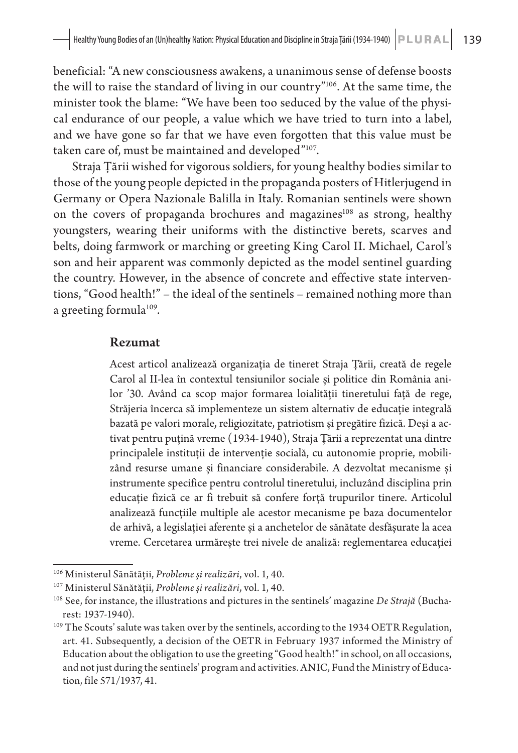beneficial: "A new consciousness awakens, a unanimous sense of defense boosts the will to raise the standard of living in our country"106. At the same time, the minister took the blame: "We have been too seduced by the value of the physical endurance of our people, a value which we have tried to turn into a label, and we have gone so far that we have even forgotten that this value must be taken care of, must be maintained and developed"<sup>107</sup>.

Straja Țării wished for vigorous soldiers, for young healthy bodies similar to those of the young people depicted in the propaganda posters of Hitlerjugend in Germany or Opera Nazionale Balilla in Italy. Romanian sentinels were shown on the covers of propaganda brochures and magazines<sup>108</sup> as strong, healthy youngsters, wearing their uniforms with the distinctive berets, scarves and belts, doing farmwork or marching or greeting King Carol II. Michael, Carol's son and heir apparent was commonly depicted as the model sentinel guarding the country. However, in the absence of concrete and effective state interventions, "Good health!" – the ideal of the sentinels – remained nothing more than a greeting formula<sup>109</sup>.

#### Rezumat

Acest articol analizează organizația de tineret Straja Țării, creată de regele Carol al II-lea în contextul tensiunilor sociale și politice din România anilor '30. Având ca scop major formarea loialității tineretului față de rege, Străjeria încerca să implementeze un sistem alternativ de educație integrală bazată pe valori morale, religiozitate, patriotism și pregătire fizică. Deși a activat pentru puțină vreme (1934-1940), Straja Țării a reprezentat una dintre principalele instituții de intervenție socială, cu autonomie proprie, mobilizând resurse umane și financiare considerabile. A dezvoltat mecanisme și instrumente specifice pentru controlul tineretului, incluzând disciplina prin educație fizică ce ar fi trebuit să confere forță trupurilor tinere. Articolul analizează funcțiile multiple ale acestor mecanisme pe baza documentelor de arhivă, a legislației aferente și a anchetelor de sănătate desfășurate la acea vreme. Cercetarea urmărește trei nivele de analiză: reglementarea educației

<sup>106</sup> Ministerul Sănătății, *Probleme și realizări*, vol. 1, 40.

<sup>&</sup>lt;sup>107</sup> Ministerul Sănătății, *Probleme și realizări*, vol. 1, 40.<br><sup>108</sup> See, for instance, the illustrations and pictures in the sentinels' magazine *De Strajă* (Bucharest: 1937-1940).

<sup>&</sup>lt;sup>109</sup> The Scouts' salute was taken over by the sentinels, according to the 1934 OETR Regulation, art. 41. Subsequently, a decision of the OETR in February 1937 informed the Ministry of Education about the obligation to use the greeting "Good health!" in school, on all occasions, and not just during the sentinels' program and activities. ANIC, Fund the Ministry of Education, file 571/1937, 41.